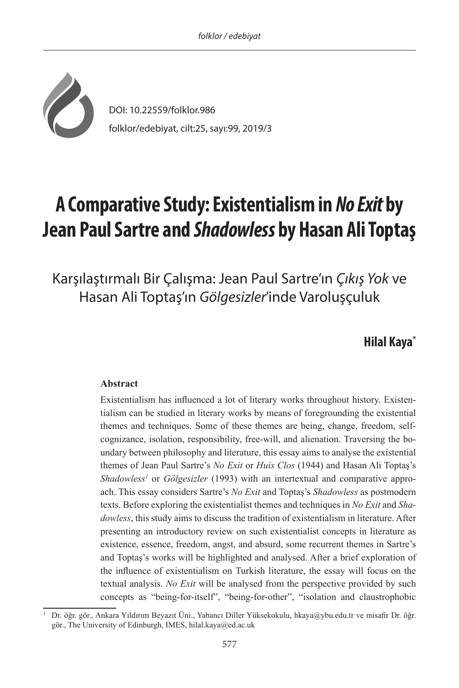

# **A Comparative Study: Existentialism in** *No Exit* **by Jean Paul Sartre and** *Shadowless* **by Hasan Ali Toptaş**

Karşılaştırmalı Bir Çalışma: Jean Paul Sartre'ın *Çıkış Yok* ve Hasan Ali Toptaş'ın *Gölgesizler*'inde Varoluşçuluk

## **Hilal Kaya\* <sup>1</sup>**

## **Abstract**

Existentialism has influenced a lot of literary works throughout history. Existentialism can be studied in literary works by means of foregrounding the existential themes and techniques. Some of these themes are being, change, freedom, selfcognizance, isolation, responsibility, free-will, and alienation. Traversing the boundary between philosophy and literature, this essay aims to analyse the existential themes of Jean Paul Sartre's *No Exit* or *Huis Clos* (1944) and Hasan Ali Toptaş's Shadowless<sup>1</sup> or *Gölgesizler* (1993) with an intertextual and comparative approach. This essay considers Sartre's *No Exit* and Toptaş's *Shadowless* as postmodern texts. Before exploring the existentialist themes and techniques in *No Exit* and *Shadowless*, this study aims to discuss the tradition of existentialism in literature. After presenting an introductory review on such existentialist concepts in literature as existence, essence, freedom, angst, and absurd, some recurrent themes in Sartre's and Toptaş's works will be highlighted and analysed. After a brief exploration of the influence of existentialism on Turkish literature, the essay will focus on the textual analysis. *No Exit* will be analysed from the perspective provided by such concepts as "being-for-itself", "being-for-other", "isolation and claustrophobic

<sup>1</sup> Dr. öğr. gör., Ankara Yıldırım Beyazıt Üni., Yabancı Diller Yüksekokulu, hkaya@ybu.edu.tr ve misafir Dr. öğr. gör., The University of Edinburgh, IMES, hilal.kaya@ed.ac.uk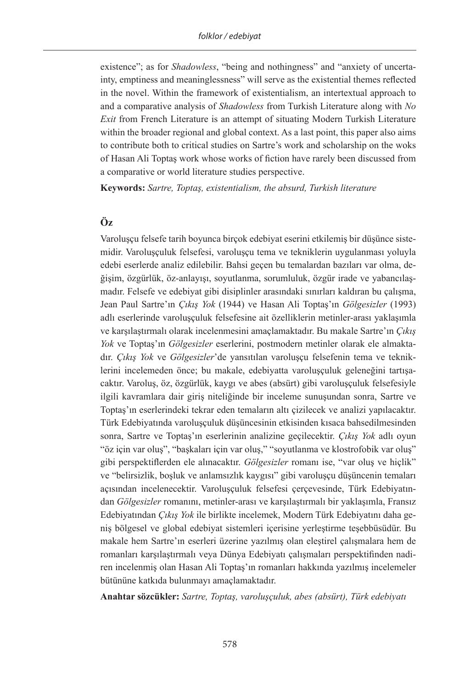existence"; as for *Shadowless*, "being and nothingness" and "anxiety of uncertainty, emptiness and meaninglessness" will serve as the existential themes reflected in the novel. Within the framework of existentialism, an intertextual approach to and a comparative analysis of *Shadowless* from Turkish Literature along with *No Exit* from French Literature is an attempt of situating Modern Turkish Literature within the broader regional and global context. As a last point, this paper also aims to contribute both to critical studies on Sartre's work and scholarship on the woks of Hasan Ali Toptaş work whose works of fiction have rarely been discussed from a comparative or world literature studies perspective.

**Keywords:** *Sartre, Toptaş, existentialism, the absurd, Turkish literature*

## **Öz**

Varoluşçu felsefe tarih boyunca birçok edebiyat eserini etkilemiş bir düşünce sistemidir. Varoluşçuluk felsefesi, varoluşçu tema ve tekniklerin uygulanması yoluyla edebi eserlerde analiz edilebilir. Bahsi geçen bu temalardan bazıları var olma, değişim, özgürlük, öz-anlayışı, soyutlanma, sorumluluk, özgür irade ve yabancılaşmadır. Felsefe ve edebiyat gibi disiplinler arasındaki sınırları kaldıran bu çalışma, Jean Paul Sartre'ın *Çıkış Yok* (1944) ve Hasan Ali Toptaş'ın *Gölgesizler* (1993) adlı eserlerinde varoluşçuluk felsefesine ait özelliklerin metinler-arası yaklaşımla ve karşılaştırmalı olarak incelenmesini amaçlamaktadır. Bu makale Sartre'ın *Çıkış Yok* ve Toptaş'ın *Gölgesizler* eserlerini, postmodern metinler olarak ele almaktadır. *Çıkış Yok* ve *Gölgesizler*'de yansıtılan varoluşçu felsefenin tema ve tekniklerini incelemeden önce; bu makale, edebiyatta varoluşçuluk geleneğini tartışacaktır. Varoluş, öz, özgürlük, kaygı ve abes (absürt) gibi varoluşçuluk felsefesiyle ilgili kavramlara dair giriş niteliğinde bir inceleme sunuşundan sonra, Sartre ve Toptaş'ın eserlerindeki tekrar eden temaların altı çizilecek ve analizi yapılacaktır. Türk Edebiyatında varoluşçuluk düşüncesinin etkisinden kısaca bahsedilmesinden sonra, Sartre ve Toptaş'ın eserlerinin analizine geçilecektir. *Çıkış Yok* adlı oyun "öz için var oluş", "başkaları için var oluş," "soyutlanma ve klostrofobik var oluş" gibi perspektiflerden ele alınacaktır. *Gölgesizler* romanı ise, "var oluş ve hiçlik" ve "belirsizlik, boşluk ve anlamsızlık kaygısı" gibi varoluşçu düşüncenin temaları açısından incelenecektir. Varoluşçuluk felsefesi çerçevesinde, Türk Edebiyatından *Gölgesizler* romanını, metinler-arası ve karşılaştırmalı bir yaklaşımla, Fransız Edebiyatından *Çıkış Yok* ile birlikte incelemek, Modern Türk Edebiyatını daha geniş bölgesel ve global edebiyat sistemleri içerisine yerleştirme teşebbüsüdür. Bu makale hem Sartre'ın eserleri üzerine yazılmış olan eleştirel çalışmalara hem de romanları karşılaştırmalı veya Dünya Edebiyatı çalışmaları perspektifinden nadiren incelenmiş olan Hasan Ali Toptaş'ın romanları hakkında yazılmış incelemeler bütününe katkıda bulunmayı amaçlamaktadır.

**Anahtar sözcükler:** *Sartre, Toptaş, varoluşçuluk, abes (absürt), Türk edebiyatı*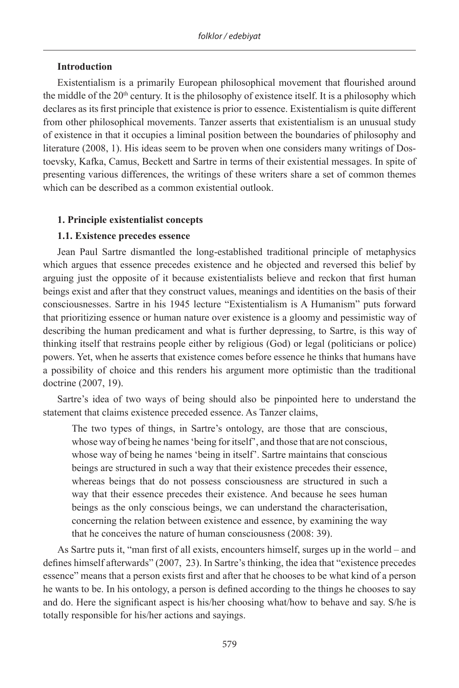## **Introduction**

Existentialism is a primarily European philosophical movement that flourished around the middle of the 20<sup>th</sup> century. It is the philosophy of existence itself. It is a philosophy which declares as its first principle that existence is prior to essence. Existentialism is quite different from other philosophical movements. Tanzer asserts that existentialism is an unusual study of existence in that it occupies a liminal position between the boundaries of philosophy and literature (2008, 1). His ideas seem to be proven when one considers many writings of Dostoevsky, Kafka, Camus, Beckett and Sartre in terms of their existential messages. In spite of presenting various differences, the writings of these writers share a set of common themes which can be described as a common existential outlook.

## **1. Principle existentialist concepts**

## **1.1. Existence precedes essence**

Jean Paul Sartre dismantled the long-established traditional principle of metaphysics which argues that essence precedes existence and he objected and reversed this belief by arguing just the opposite of it because existentialists believe and reckon that first human beings exist and after that they construct values, meanings and identities on the basis of their consciousnesses. Sartre in his 1945 lecture "Existentialism is A Humanism" puts forward that prioritizing essence or human nature over existence is a gloomy and pessimistic way of describing the human predicament and what is further depressing, to Sartre, is this way of thinking itself that restrains people either by religious (God) or legal (politicians or police) powers. Yet, when he asserts that existence comes before essence he thinks that humans have a possibility of choice and this renders his argument more optimistic than the traditional doctrine (2007, 19).

Sartre's idea of two ways of being should also be pinpointed here to understand the statement that claims existence preceded essence. As Tanzer claims,

The two types of things, in Sartre's ontology, are those that are conscious, whose way of being he names 'being for itself', and those that are not conscious, whose way of being he names 'being in itself'. Sartre maintains that conscious beings are structured in such a way that their existence precedes their essence, whereas beings that do not possess consciousness are structured in such a way that their essence precedes their existence. And because he sees human beings as the only conscious beings, we can understand the characterisation, concerning the relation between existence and essence, by examining the way that he conceives the nature of human consciousness (2008: 39).

As Sartre puts it, "man first of all exists, encounters himself, surges up in the world – and defines himself afterwards" (2007, 23). In Sartre's thinking, the idea that "existence precedes essence" means that a person exists first and after that he chooses to be what kind of a person he wants to be. In his ontology, a person is defined according to the things he chooses to say and do. Here the significant aspect is his/her choosing what/how to behave and say. S/he is totally responsible for his/her actions and sayings.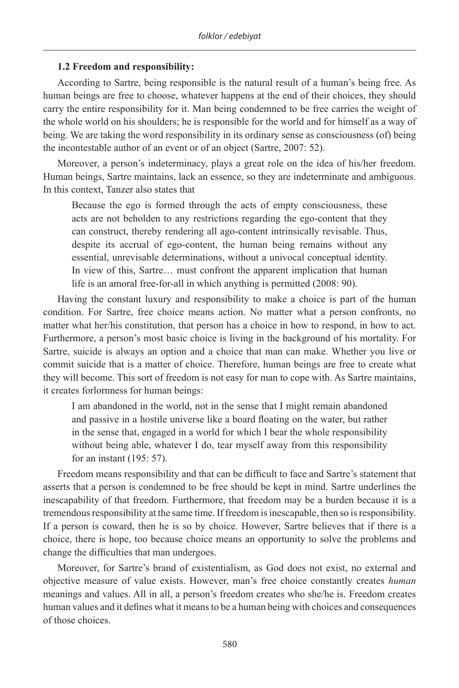## **1.2 Freedom and responsibility:**

According to Sartre, being responsible is the natural result of a human's being free. As human beings are free to choose, whatever happens at the end of their choices, they should carry the entire responsibility for it. Man being condemned to be free carries the weight of the whole world on his shoulders; he is responsible for the world and for himself as a way of being. We are taking the word responsibility in its ordinary sense as consciousness (of) being the incontestable author of an event or of an object (Sartre, 2007: 52).

Moreover, a person's indeterminacy, plays a great role on the idea of his/her freedom. Human beings, Sartre maintains, lack an essence, so they are indeterminate and ambiguous. In this context, Tanzer also states that

Because the ego is formed through the acts of empty consciousness, these acts are not beholden to any restrictions regarding the ego-content that they can construct, thereby rendering all ago-content intrinsically revisable. Thus, despite its accrual of ego-content, the human being remains without any essential, unrevisable determinations, without a univocal conceptual identity. In view of this, Sartre… must confront the apparent implication that human life is an amoral free-for-all in which anything is permitted (2008: 90).

Having the constant luxury and responsibility to make a choice is part of the human condition. For Sartre, free choice means action. No matter what a person confronts, no matter what her/his constitution, that person has a choice in how to respond, in how to act. Furthermore, a person's most basic choice is living in the background of his mortality. For Sartre, suicide is always an option and a choice that man can make. Whether you live or commit suicide that is a matter of choice. Therefore, human beings are free to create what they will become. This sort of freedom is not easy for man to cope with. As Sartre maintains, it creates forlornness for human beings:

I am abandoned in the world, not in the sense that I might remain abandoned and passive in a hostile universe like a board floating on the water, but rather in the sense that, engaged in a world for which I bear the whole responsibility without being able, whatever I do, tear myself away from this responsibility for an instant (195: 57).

Freedom means responsibility and that can be difficult to face and Sartre's statement that asserts that a person is condemned to be free should be kept in mind. Sartre underlines the inescapability of that freedom. Furthermore, that freedom may be a burden because it is a tremendous responsibility at the same time. If freedom is inescapable, then so is responsibility. If a person is coward, then he is so by choice. However, Sartre believes that if there is a choice, there is hope, too because choice means an opportunity to solve the problems and change the difficulties that man undergoes.

Moreover, for Sartre's brand of existentialism, as God does not exist, no external and objective measure of value exists. However, man's free choice constantly creates *human* meanings and values. All in all, a person's freedom creates who she/he is. Freedom creates human values and it defines what it means to be a human being with choices and consequences of those choices.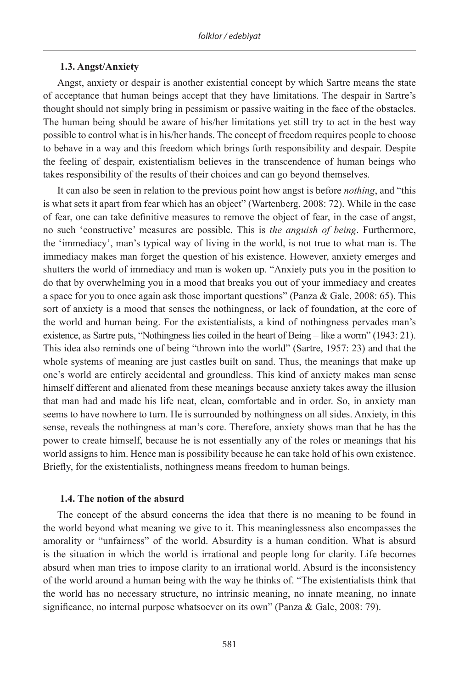#### **1.3. Angst/Anxiety**

Angst, anxiety or despair is another existential concept by which Sartre means the state of acceptance that human beings accept that they have limitations. The despair in Sartre's thought should not simply bring in pessimism or passive waiting in the face of the obstacles. The human being should be aware of his/her limitations yet still try to act in the best way possible to control what is in his/her hands. The concept of freedom requires people to choose to behave in a way and this freedom which brings forth responsibility and despair. Despite the feeling of despair, existentialism believes in the transcendence of human beings who takes responsibility of the results of their choices and can go beyond themselves.

It can also be seen in relation to the previous point how angst is before *nothing*, and "this is what sets it apart from fear which has an object" (Wartenberg, 2008: 72). While in the case of fear, one can take definitive measures to remove the object of fear, in the case of angst, no such 'constructive' measures are possible. This is *the anguish of being*. Furthermore, the 'immediacy', man's typical way of living in the world, is not true to what man is. The immediacy makes man forget the question of his existence. However, anxiety emerges and shutters the world of immediacy and man is woken up. "Anxiety puts you in the position to do that by overwhelming you in a mood that breaks you out of your immediacy and creates a space for you to once again ask those important questions" (Panza & Gale, 2008: 65). This sort of anxiety is a mood that senses the nothingness, or lack of foundation, at the core of the world and human being. For the existentialists, a kind of nothingness pervades man's existence, as Sartre puts, "Nothingness lies coiled in the heart of Being – like a worm" (1943: 21). This idea also reminds one of being "thrown into the world" (Sartre, 1957: 23) and that the whole systems of meaning are just castles built on sand. Thus, the meanings that make up one's world are entirely accidental and groundless. This kind of anxiety makes man sense himself different and alienated from these meanings because anxiety takes away the illusion that man had and made his life neat, clean, comfortable and in order. So, in anxiety man seems to have nowhere to turn. He is surrounded by nothingness on all sides. Anxiety, in this sense, reveals the nothingness at man's core. Therefore, anxiety shows man that he has the power to create himself, because he is not essentially any of the roles or meanings that his world assigns to him. Hence man is possibility because he can take hold of his own existence. Briefly, for the existentialists, nothingness means freedom to human beings.

#### **1.4. The notion of the absurd**

The concept of the absurd concerns the idea that there is no meaning to be found in the world beyond what meaning we give to it. This meaninglessness also encompasses the amorality or "unfairness" of the world. Absurdity is a human condition. What is absurd is the situation in which the world is irrational and people long for clarity. Life becomes absurd when man tries to impose clarity to an irrational world. Absurd is the inconsistency of the world around a human being with the way he thinks of. "The existentialists think that the world has no necessary structure, no intrinsic meaning, no innate meaning, no innate significance, no internal purpose whatsoever on its own" (Panza & Gale, 2008: 79).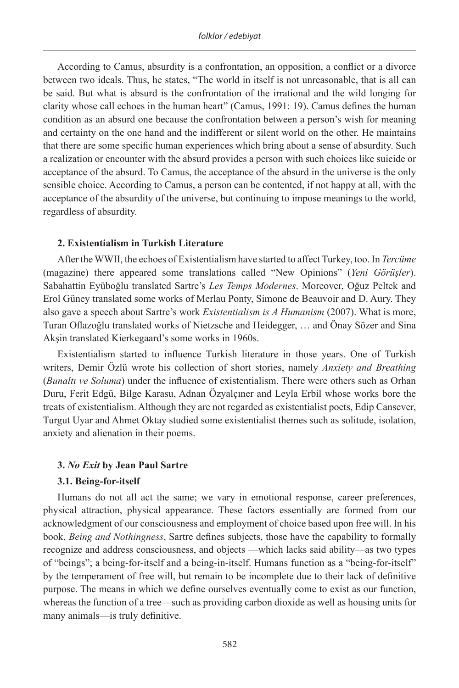According to Camus, absurdity is a confrontation, an opposition, a conflict or a divorce between two ideals. Thus, he states, "The world in itself is not unreasonable, that is all can be said. But what is absurd is the confrontation of the irrational and the wild longing for clarity whose call echoes in the human heart" (Camus, 1991: 19). Camus defines the human condition as an absurd one because the confrontation between a person's wish for meaning and certainty on the one hand and the indifferent or silent world on the other. He maintains that there are some specific human experiences which bring about a sense of absurdity. Such a realization or encounter with the absurd provides a person with such choices like suicide or acceptance of the absurd. To Camus, the acceptance of the absurd in the universe is the only sensible choice. According to Camus, a person can be contented, if not happy at all, with the acceptance of the absurdity of the universe, but continuing to impose meanings to the world, regardless of absurdity.

#### **2. Existentialism in Turkish Literature**

After the WWII, the echoes of Existentialism have started to affect Turkey, too. In *Tercüme* (magazine) there appeared some translations called "New Opinions" (*Yeni Görüşler*). Sabahattin Eyüboğlu translated Sartre's *Les Temps Modernes*. Moreover, Oğuz Peltek and Erol Güney translated some works of Merlau Ponty, Simone de Beauvoir and D. Aury. They also gave a speech about Sartre's work *Existentialism is A Humanism* (2007). What is more, Turan Oflazoğlu translated works of Nietzsche and Heidegger, … and Önay Sözer and Sina Akşin translated Kierkegaard's some works in 1960s.

Existentialism started to influence Turkish literature in those years. One of Turkish writers, Demir Özlü wrote his collection of short stories, namely *Anxiety and Breathing* (*Bunaltı ve Soluma*) under the influence of existentialism. There were others such as Orhan Duru, Ferit Edgü, Bilge Karasu, Adnan Özyalçıner and Leyla Erbil whose works bore the treats of existentialism. Although they are not regarded as existentialist poets, Edip Cansever, Turgut Uyar and Ahmet Oktay studied some existentialist themes such as solitude, isolation, anxiety and alienation in their poems.

#### **3.** *No Exit* **by Jean Paul Sartre**

#### **3.1. Being-for-itself**

Humans do not all act the same; we vary in emotional response, career preferences, physical attraction, physical appearance. These factors essentially are formed from our acknowledgment of our consciousness and employment of choice based upon free will. In his book, *Being and Nothingness*, Sartre defines subjects, those have the capability to formally recognize and address consciousness, and objects —which lacks said ability—as two types of "beings"; a being-for-itself and a being-in-itself. Humans function as a "being-for-itself" by the temperament of free will, but remain to be incomplete due to their lack of definitive purpose. The means in which we define ourselves eventually come to exist as our function, whereas the function of a tree—such as providing carbon dioxide as well as housing units for many animals—is truly definitive.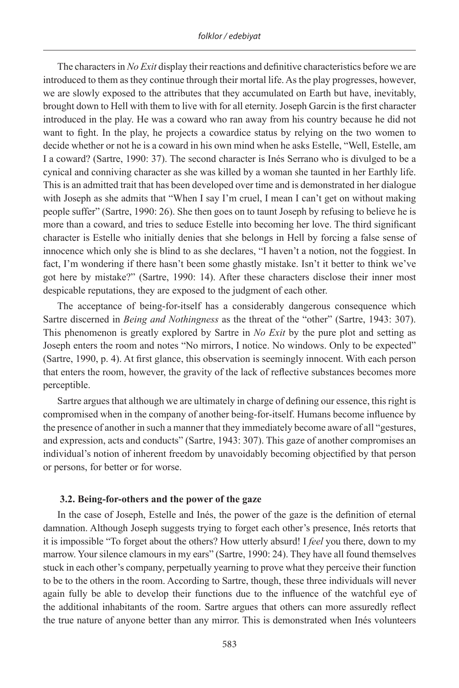The characters in *No Exit* display their reactions and definitive characteristics before we are introduced to them as they continue through their mortal life. As the play progresses, however, we are slowly exposed to the attributes that they accumulated on Earth but have, inevitably, brought down to Hell with them to live with for all eternity. Joseph Garcin is the first character introduced in the play. He was a coward who ran away from his country because he did not want to fight. In the play, he projects a cowardice status by relying on the two women to decide whether or not he is a coward in his own mind when he asks Estelle, "Well, Estelle, am I a coward? (Sartre, 1990: 37). The second character is Inés Serrano who is divulged to be a cynical and conniving character as she was killed by a woman she taunted in her Earthly life. This is an admitted trait that has been developed over time and is demonstrated in her dialogue with Joseph as she admits that "When I say I'm cruel, I mean I can't get on without making people suffer" (Sartre, 1990: 26). She then goes on to taunt Joseph by refusing to believe he is more than a coward, and tries to seduce Estelle into becoming her love. The third significant character is Estelle who initially denies that she belongs in Hell by forcing a false sense of innocence which only she is blind to as she declares, "I haven't a notion, not the foggiest. In fact, I'm wondering if there hasn't been some ghastly mistake. Isn't it better to think we've got here by mistake?" (Sartre, 1990: 14). After these characters disclose their inner most despicable reputations, they are exposed to the judgment of each other.

The acceptance of being-for-itself has a considerably dangerous consequence which Sartre discerned in *Being and Nothingness* as the threat of the "other" (Sartre, 1943: 307). This phenomenon is greatly explored by Sartre in *No Exit* by the pure plot and setting as Joseph enters the room and notes "No mirrors, I notice. No windows. Only to be expected" (Sartre, 1990, p. 4). At first glance, this observation is seemingly innocent. With each person that enters the room, however, the gravity of the lack of reflective substances becomes more perceptible.

Sartre argues that although we are ultimately in charge of defining our essence, this right is compromised when in the company of another being-for-itself. Humans become influence by the presence of another in such a manner that they immediately become aware of all "gestures, and expression, acts and conducts" (Sartre, 1943: 307). This gaze of another compromises an individual's notion of inherent freedom by unavoidably becoming objectified by that person or persons, for better or for worse.

#### **3.2. Being-for-others and the power of the gaze**

In the case of Joseph, Estelle and Inés, the power of the gaze is the definition of eternal damnation. Although Joseph suggests trying to forget each other's presence, Inés retorts that it is impossible "To forget about the others? How utterly absurd! I *feel* you there, down to my marrow. Your silence clamours in my ears" (Sartre, 1990: 24). They have all found themselves stuck in each other's company, perpetually yearning to prove what they perceive their function to be to the others in the room. According to Sartre, though, these three individuals will never again fully be able to develop their functions due to the influence of the watchful eye of the additional inhabitants of the room. Sartre argues that others can more assuredly reflect the true nature of anyone better than any mirror. This is demonstrated when Inés volunteers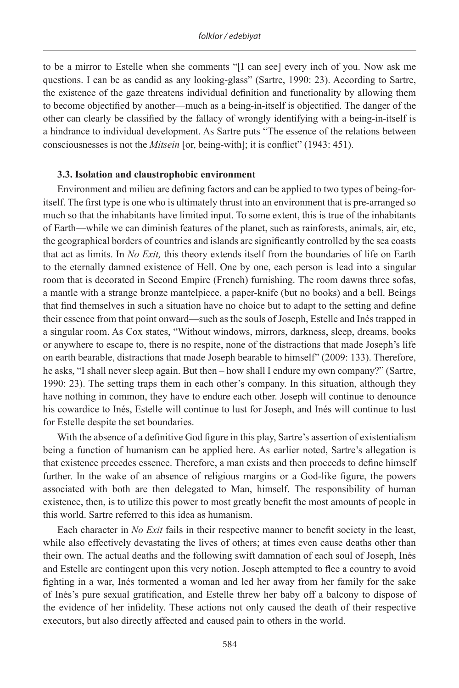to be a mirror to Estelle when she comments "[I can see] every inch of you. Now ask me questions. I can be as candid as any looking-glass" (Sartre, 1990: 23). According to Sartre, the existence of the gaze threatens individual definition and functionality by allowing them to become objectified by another—much as a being-in-itself is objectified. The danger of the other can clearly be classified by the fallacy of wrongly identifying with a being-in-itself is a hindrance to individual development. As Sartre puts "The essence of the relations between consciousnesses is not the *Mitsein* [or, being-with]; it is conflict" (1943: 451).

#### **3.3. Isolation and claustrophobic environment**

Environment and milieu are defining factors and can be applied to two types of being-foritself. The first type is one who is ultimately thrust into an environment that is pre-arranged so much so that the inhabitants have limited input. To some extent, this is true of the inhabitants of Earth—while we can diminish features of the planet, such as rainforests, animals, air, etc, the geographical borders of countries and islands are significantly controlled by the sea coasts that act as limits. In *No Exit,* this theory extends itself from the boundaries of life on Earth to the eternally damned existence of Hell. One by one, each person is lead into a singular room that is decorated in Second Empire (French) furnishing. The room dawns three sofas, a mantle with a strange bronze mantelpiece, a paper-knife (but no books) and a bell. Beings that find themselves in such a situation have no choice but to adapt to the setting and define their essence from that point onward—such as the souls of Joseph, Estelle and Inés trapped in a singular room. As Cox states, "Without windows, mirrors, darkness, sleep, dreams, books or anywhere to escape to, there is no respite, none of the distractions that made Joseph's life on earth bearable, distractions that made Joseph bearable to himself" (2009: 133). Therefore, he asks, "I shall never sleep again. But then – how shall I endure my own company?" (Sartre, 1990: 23). The setting traps them in each other's company. In this situation, although they have nothing in common, they have to endure each other. Joseph will continue to denounce his cowardice to Inés, Estelle will continue to lust for Joseph, and Inés will continue to lust for Estelle despite the set boundaries.

With the absence of a definitive God figure in this play, Sartre's assertion of existentialism being a function of humanism can be applied here. As earlier noted, Sartre's allegation is that existence precedes essence. Therefore, a man exists and then proceeds to define himself further. In the wake of an absence of religious margins or a God-like figure, the powers associated with both are then delegated to Man, himself. The responsibility of human existence, then, is to utilize this power to most greatly benefit the most amounts of people in this world. Sartre referred to this idea as humanism.

Each character in *No Exit* fails in their respective manner to benefit society in the least, while also effectively devastating the lives of others; at times even cause deaths other than their own. The actual deaths and the following swift damnation of each soul of Joseph, Inés and Estelle are contingent upon this very notion. Joseph attempted to flee a country to avoid fighting in a war, Inés tormented a woman and led her away from her family for the sake of Inés's pure sexual gratification, and Estelle threw her baby off a balcony to dispose of the evidence of her infidelity. These actions not only caused the death of their respective executors, but also directly affected and caused pain to others in the world.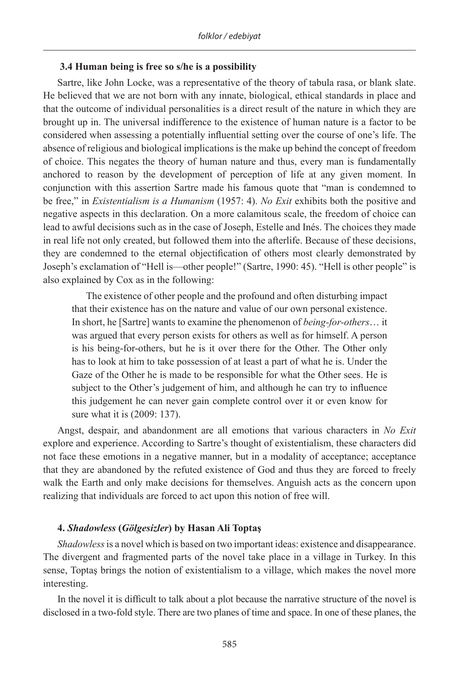## **3.4 Human being is free so s/he is a possibility**

Sartre, like John Locke, was a representative of the theory of tabula rasa, or blank slate. He believed that we are not born with any innate, biological, ethical standards in place and that the outcome of individual personalities is a direct result of the nature in which they are brought up in. The universal indifference to the existence of human nature is a factor to be considered when assessing a potentially influential setting over the course of one's life. The absence of religious and biological implications is the make up behind the concept of freedom of choice. This negates the theory of human nature and thus, every man is fundamentally anchored to reason by the development of perception of life at any given moment. In conjunction with this assertion Sartre made his famous quote that "man is condemned to be free," in *Existentialism is a Humanism* (1957: 4). *No Exit* exhibits both the positive and negative aspects in this declaration. On a more calamitous scale, the freedom of choice can lead to awful decisions such as in the case of Joseph, Estelle and Inés. The choices they made in real life not only created, but followed them into the afterlife. Because of these decisions, they are condemned to the eternal objectification of others most clearly demonstrated by Joseph's exclamation of "Hell is—other people!" (Sartre, 1990: 45). "Hell is other people" is also explained by Cox as in the following:

The existence of other people and the profound and often disturbing impact that their existence has on the nature and value of our own personal existence. In short, he [Sartre] wants to examine the phenomenon of *being-for-others*… it was argued that every person exists for others as well as for himself. A person is his being-for-others, but he is it over there for the Other. The Other only has to look at him to take possession of at least a part of what he is. Under the Gaze of the Other he is made to be responsible for what the Other sees. He is subject to the Other's judgement of him, and although he can try to influence this judgement he can never gain complete control over it or even know for sure what it is (2009: 137).

Angst, despair, and abandonment are all emotions that various characters in *No Exit*  explore and experience. According to Sartre's thought of existentialism, these characters did not face these emotions in a negative manner, but in a modality of acceptance; acceptance that they are abandoned by the refuted existence of God and thus they are forced to freely walk the Earth and only make decisions for themselves. Anguish acts as the concern upon realizing that individuals are forced to act upon this notion of free will.

## **4.** *Shadowless* **(***Gölgesizler***) by Hasan Ali Toptaş**

*Shadowless* is a novel which is based on two important ideas: existence and disappearance. The divergent and fragmented parts of the novel take place in a village in Turkey. In this sense, Toptaş brings the notion of existentialism to a village, which makes the novel more interesting.

In the novel it is difficult to talk about a plot because the narrative structure of the novel is disclosed in a two-fold style. There are two planes of time and space. In one of these planes, the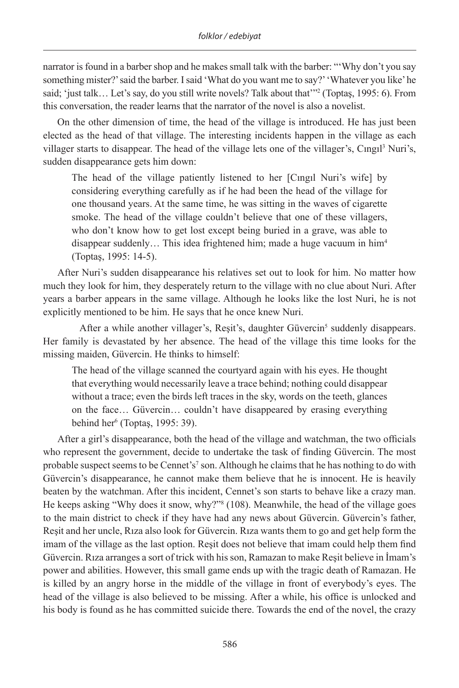narrator is found in a barber shop and he makes small talk with the barber: "'Why don't you say something mister?' said the barber. I said 'What do you want me to say?' 'Whatever you like' he said; 'just talk… Let's say, do you still write novels? Talk about that'"2 (Toptaş, 1995: 6). From this conversation, the reader learns that the narrator of the novel is also a novelist.

On the other dimension of time, the head of the village is introduced. He has just been elected as the head of that village. The interesting incidents happen in the village as each villager starts to disappear. The head of the village lets one of the villager's, Cingil<sup>3</sup> Nuri's, sudden disappearance gets him down:

The head of the village patiently listened to her [Cıngıl Nuri's wife] by considering everything carefully as if he had been the head of the village for one thousand years. At the same time, he was sitting in the waves of cigarette smoke. The head of the village couldn't believe that one of these villagers, who don't know how to get lost except being buried in a grave, was able to disappear suddenly… This idea frightened him; made a huge vacuum in him4 (Toptaş, 1995: 14-5).

After Nuri's sudden disappearance his relatives set out to look for him. No matter how much they look for him, they desperately return to the village with no clue about Nuri. After years a barber appears in the same village. Although he looks like the lost Nuri, he is not explicitly mentioned to be him. He says that he once knew Nuri.

After a while another villager's, Reşit's, daughter Güvercin<sup>5</sup> suddenly disappears. Her family is devastated by her absence. The head of the village this time looks for the missing maiden, Güvercin. He thinks to himself:

The head of the village scanned the courtyard again with his eyes. He thought that everything would necessarily leave a trace behind; nothing could disappear without a trace; even the birds left traces in the sky, words on the teeth, glances on the face… Güvercin… couldn't have disappeared by erasing everything behind her6 (Toptaş, 1995: 39).

After a girl's disappearance, both the head of the village and watchman, the two officials who represent the government, decide to undertake the task of finding Güvercin. The most probable suspect seems to be Cennet's<sup>7</sup> son. Although he claims that he has nothing to do with Güvercin's disappearance, he cannot make them believe that he is innocent. He is heavily beaten by the watchman. After this incident, Cennet's son starts to behave like a crazy man. He keeps asking "Why does it snow, why?"8 (108). Meanwhile, the head of the village goes to the main district to check if they have had any news about Güvercin. Güvercin's father, Reşit and her uncle, Rıza also look for Güvercin. Rıza wants them to go and get help form the imam of the village as the last option. Reşit does not believe that imam could help them find Güvercin. Rıza arranges a sort of trick with his son, Ramazan to make Reşit believe in İmam's power and abilities. However, this small game ends up with the tragic death of Ramazan. He is killed by an angry horse in the middle of the village in front of everybody's eyes. The head of the village is also believed to be missing. After a while, his office is unlocked and his body is found as he has committed suicide there. Towards the end of the novel, the crazy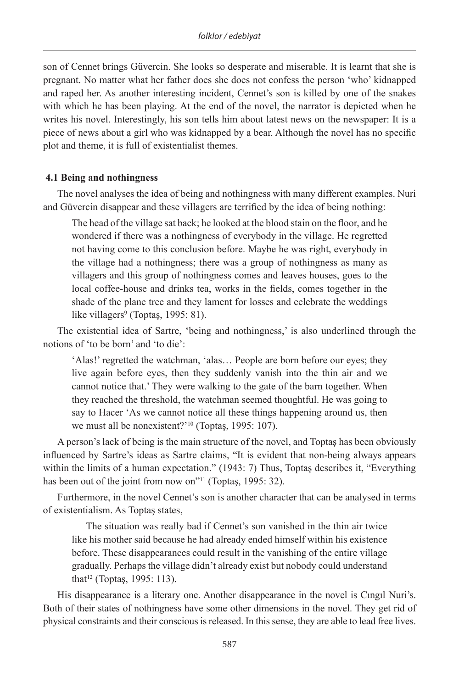son of Cennet brings Güvercin. She looks so desperate and miserable. It is learnt that she is pregnant. No matter what her father does she does not confess the person 'who' kidnapped and raped her. As another interesting incident, Cennet's son is killed by one of the snakes with which he has been playing. At the end of the novel, the narrator is depicted when he writes his novel. Interestingly, his son tells him about latest news on the newspaper: It is a piece of news about a girl who was kidnapped by a bear. Although the novel has no specific plot and theme, it is full of existentialist themes.

## **4.1 Being and nothingness**

The novel analyses the idea of being and nothingness with many different examples. Nuri and Güvercin disappear and these villagers are terrified by the idea of being nothing:

The head of the village sat back; he looked at the blood stain on the floor, and he wondered if there was a nothingness of everybody in the village. He regretted not having come to this conclusion before. Maybe he was right, everybody in the village had a nothingness; there was a group of nothingness as many as villagers and this group of nothingness comes and leaves houses, goes to the local coffee-house and drinks tea, works in the fields, comes together in the shade of the plane tree and they lament for losses and celebrate the weddings like villagers<sup>9</sup> (Toptaş, 1995: 81).

The existential idea of Sartre, 'being and nothingness,' is also underlined through the notions of 'to be born' and 'to die':

'Alas!' regretted the watchman, 'alas… People are born before our eyes; they live again before eyes, then they suddenly vanish into the thin air and we cannot notice that.' They were walking to the gate of the barn together. When they reached the threshold, the watchman seemed thoughtful. He was going to say to Hacer 'As we cannot notice all these things happening around us, then we must all be nonexistent?<sup>'10</sup> (Toptaş, 1995: 107).

A person's lack of being is the main structure of the novel, and Toptaş has been obviously influenced by Sartre's ideas as Sartre claims, "It is evident that non-being always appears within the limits of a human expectation." (1943: 7) Thus, Toptas describes it, "Everything has been out of the joint from now on<sup>"11</sup> (Toptas, 1995: 32).

Furthermore, in the novel Cennet's son is another character that can be analysed in terms of existentialism. As Toptaş states,

The situation was really bad if Cennet's son vanished in the thin air twice like his mother said because he had already ended himself within his existence before. These disappearances could result in the vanishing of the entire village gradually. Perhaps the village didn't already exist but nobody could understand that<sup>12</sup> (Toptaş, 1995: 113).

His disappearance is a literary one. Another disappearance in the novel is Cıngıl Nuri's. Both of their states of nothingness have some other dimensions in the novel. They get rid of physical constraints and their conscious is released. In this sense, they are able to lead free lives.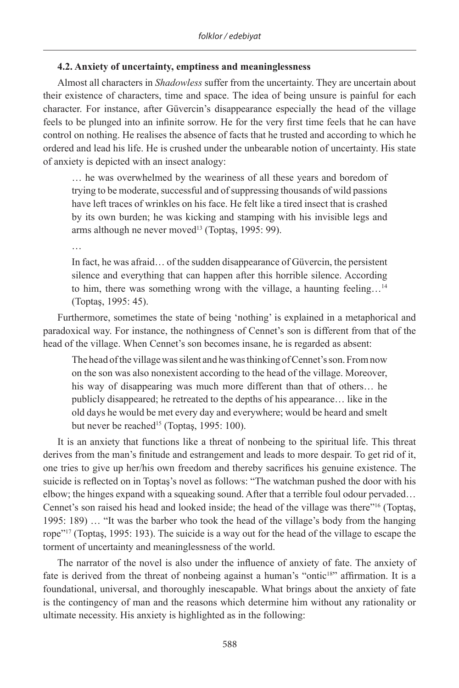## **4.2. Anxiety of uncertainty, emptiness and meaninglessness**

Almost all characters in *Shadowless* suffer from the uncertainty. They are uncertain about their existence of characters, time and space. The idea of being unsure is painful for each character. For instance, after Güvercin's disappearance especially the head of the village feels to be plunged into an infinite sorrow. He for the very first time feels that he can have control on nothing. He realises the absence of facts that he trusted and according to which he ordered and lead his life. He is crushed under the unbearable notion of uncertainty. His state of anxiety is depicted with an insect analogy:

… he was overwhelmed by the weariness of all these years and boredom of trying to be moderate, successful and of suppressing thousands of wild passions have left traces of wrinkles on his face. He felt like a tired insect that is crashed by its own burden; he was kicking and stamping with his invisible legs and arms although ne never moved<sup>13</sup> (Toptaş, 1995: 99).

…

In fact, he was afraid… of the sudden disappearance of Güvercin, the persistent silence and everything that can happen after this horrible silence. According to him, there was something wrong with the village, a haunting feeling…14 (Toptaş, 1995: 45).

Furthermore, sometimes the state of being 'nothing' is explained in a metaphorical and paradoxical way. For instance, the nothingness of Cennet's son is different from that of the head of the village. When Cennet's son becomes insane, he is regarded as absent:

The head of the village was silent and he was thinking of Cennet's son. From now on the son was also nonexistent according to the head of the village. Moreover, his way of disappearing was much more different than that of others… he publicly disappeared; he retreated to the depths of his appearance… like in the old days he would be met every day and everywhere; would be heard and smelt but never be reached<sup>15</sup> (Toptaş, 1995: 100).

It is an anxiety that functions like a threat of nonbeing to the spiritual life. This threat derives from the man's finitude and estrangement and leads to more despair. To get rid of it, one tries to give up her/his own freedom and thereby sacrifices his genuine existence. The suicide is reflected on in Toptaş's novel as follows: "The watchman pushed the door with his elbow; the hinges expand with a squeaking sound. After that a terrible foul odour pervaded… Cennet's son raised his head and looked inside; the head of the village was there"16 (Toptaş, 1995: 189) … "It was the barber who took the head of the village's body from the hanging rope"17 (Toptaş, 1995: 193). The suicide is a way out for the head of the village to escape the torment of uncertainty and meaninglessness of the world.

The narrator of the novel is also under the influence of anxiety of fate. The anxiety of fate is derived from the threat of nonbeing against a human's "ontic<sup>18</sup>" affirmation. It is a foundational, universal, and thoroughly inescapable. What brings about the anxiety of fate is the contingency of man and the reasons which determine him without any rationality or ultimate necessity. His anxiety is highlighted as in the following: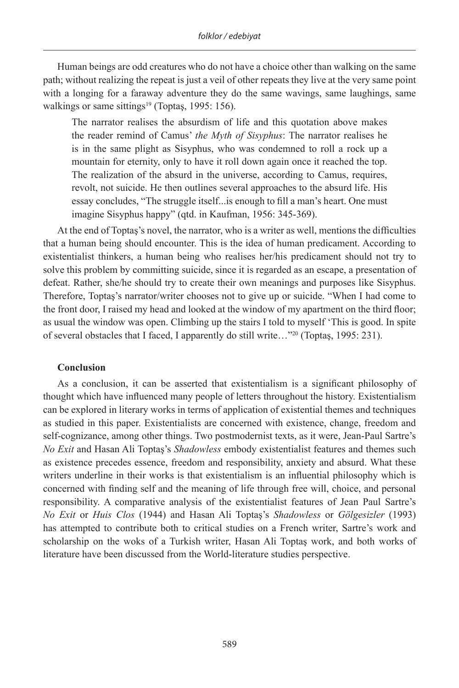Human beings are odd creatures who do not have a choice other than walking on the same path; without realizing the repeat is just a veil of other repeats they live at the very same point with a longing for a faraway adventure they do the same wavings, same laughings, same walkings or same sittings<sup>19</sup> (Toptas, 1995: 156).

The narrator realises the absurdism of life and this quotation above makes the reader remind of Camus' *the Myth of Sisyphus*: The narrator realises he is in the same plight as Sisyphus, who was condemned to roll a rock up a mountain for eternity, only to have it roll down again once it reached the top. The realization of the absurd in the universe, according to Camus, requires, revolt, not suicide. He then outlines several approaches to the absurd life. His essay concludes, "The struggle itself...is enough to fill a man's heart. One must imagine Sisyphus happy" (qtd. in Kaufman, 1956: 345-369).

At the end of Toptaş's novel, the narrator, who is a writer as well, mentions the difficulties that a human being should encounter. This is the idea of human predicament. According to existentialist thinkers, a human being who realises her/his predicament should not try to solve this problem by committing suicide, since it is regarded as an escape, a presentation of defeat. Rather, she/he should try to create their own meanings and purposes like Sisyphus. Therefore, Toptaş's narrator/writer chooses not to give up or suicide. "When I had come to the front door, I raised my head and looked at the window of my apartment on the third floor; as usual the window was open. Climbing up the stairs I told to myself 'This is good. In spite of several obstacles that I faced, I apparently do still write…"20 (Toptaş, 1995: 231).

#### **Conclusion**

As a conclusion, it can be asserted that existentialism is a significant philosophy of thought which have influenced many people of letters throughout the history. Existentialism can be explored in literary works in terms of application of existential themes and techniques as studied in this paper. Existentialists are concerned with existence, change, freedom and self-cognizance, among other things. Two postmodernist texts, as it were, Jean-Paul Sartre's *No Exit* and Hasan Ali Toptaş's *Shadowless* embody existentialist features and themes such as existence precedes essence, freedom and responsibility, anxiety and absurd. What these writers underline in their works is that existentialism is an influential philosophy which is concerned with finding self and the meaning of life through free will, choice, and personal responsibility. A comparative analysis of the existentialist features of Jean Paul Sartre's *No Exit* or *Huis Clos* (1944) and Hasan Ali Toptaş's *Shadowless* or *Gölgesizler* (1993) has attempted to contribute both to critical studies on a French writer, Sartre's work and scholarship on the woks of a Turkish writer, Hasan Ali Toptaş work, and both works of literature have been discussed from the World-literature studies perspective.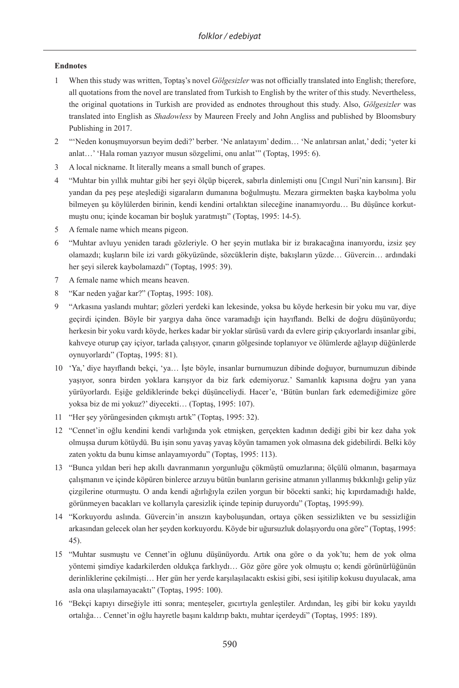#### **Endnotes**

- 1 When this study was written, Toptaş's novel *Gölgesizler* was not officially translated into English; therefore, all quotations from the novel are translated from Turkish to English by the writer of this study. Nevertheless, the original quotations in Turkish are provided as endnotes throughout this study. Also, *Gölgesizler* was translated into English as *Shadowless* by Maureen Freely and John Angliss and published by Bloomsbury Publishing in 2017.
- 2 "'Neden konuşmuyorsun beyim dedi?' berber. 'Ne anlatayım' dedim… 'Ne anlatırsan anlat,' dedi; 'yeter ki anlat…' 'Hala roman yazıyor musun sözgelimi, onu anlat'" (Toptaş, 1995: 6).
- 3 A local nickname. It literally means a small bunch of grapes.
- 4 "Muhtar bin yıllık muhtar gibi her şeyi ölçüp biçerek, sabırla dinlemişti onu [Cıngıl Nuri'nin karısını]. Bir yandan da peş peşe ateşlediği sigaraların dumanına boğulmuştu. Mezara girmekten başka kaybolma yolu bilmeyen şu köylülerden birinin, kendi kendini ortalıktan sileceğine inanamıyordu… Bu düşünce korkutmuştu onu; içinde kocaman bir boşluk yaratmıştı" (Toptaş, 1995: 14-5).
- 5 A female name which means pigeon.
- 6 "Muhtar avluyu yeniden taradı gözleriyle. O her şeyin mutlaka bir iz bırakacağına inanıyordu, izsiz şey olamazdı; kuşların bile izi vardı gökyüzünde, sözcüklerin dişte, bakışların yüzde… Güvercin… ardındaki her şeyi silerek kaybolamazdı" (Toptaş, 1995: 39).
- 7 A female name which means heaven.
- 8 "Kar neden yağar kar?" (Toptaş, 1995: 108).
- 9 "Arkasına yaslandı muhtar; gözleri yerdeki kan lekesinde, yoksa bu köyde herkesin bir yoku mu var, diye geçirdi içinden. Böyle bir yargıya daha önce varamadığı için hayıflandı. Belki de doğru düşünüyordu; herkesin bir yoku vardı köyde, herkes kadar bir yoklar sürüsü vardı da evlere girip çıkıyorlardı insanlar gibi, kahveye oturup çay içiyor, tarlada çalışıyor, çınarın gölgesinde toplanıyor ve ölümlerde ağlayıp düğünlerde oynuyorlardı" (Toptaş, 1995: 81).
- 10 'Ya,' diye hayıflandı bekçi, 'ya… İşte böyle, insanlar burnumuzun dibinde doğuyor, burnumuzun dibinde yaşıyor, sonra birden yoklara karışıyor da biz fark edemiyoruz.' Samanlık kapısına doğru yan yana yürüyorlardı. Eşiğe geldiklerinde bekçi düşünceliydi. Hacer'e, 'Bütün bunları fark edemediğimize göre yoksa biz de mi yokuz?' diyecekti… (Toptaş, 1995: 107).
- 11 "Her şey yörüngesinden çıkmıştı artık" (Toptaş, 1995: 32).
- 12 "Cennet'in oğlu kendini kendi varlığında yok etmişken, gerçekten kadının dediği gibi bir kez daha yok olmuşsa durum kötüydü. Bu işin sonu yavaş yavaş köyün tamamen yok olmasına dek gidebilirdi. Belki köy zaten yoktu da bunu kimse anlayamıyordu" (Toptaş, 1995: 113).
- 13 "Bunca yıldan beri hep akıllı davranmanın yorgunluğu çökmüştü omuzlarına; ölçülü olmanın, başarmaya çalışmanın ve içinde köpüren binlerce arzuyu bütün bunların gerisine atmanın yıllanmış bıkkınlığı gelip yüz çizgilerine oturmuştu. O anda kendi ağırlığıyla ezilen yorgun bir böcekti sanki; hiç kıpırdamadığı halde, görünmeyen bacakları ve kollarıyla çaresizlik içinde tepinip duruyordu" (Toptaş, 1995:99).
- 14 "Korkuyordu aslında. Güvercin'in ansızın kayboluşundan, ortaya çöken sessizlikten ve bu sessizliğin arkasından gelecek olan her şeyden korkuyordu. Köyde bir uğursuzluk dolaşıyordu ona göre" (Toptaş, 1995: 45).
- 15 "Muhtar susmuştu ve Cennet'in oğlunu düşünüyordu. Artık ona göre o da yok'tu; hem de yok olma yöntemi şimdiye kadarkilerden oldukça farklıydı… Göz göre göre yok olmuştu o; kendi görünürlüğünün derinliklerine çekilmişti… Her gün her yerde karşılaşılacaktı eskisi gibi, sesi işitilip kokusu duyulacak, ama asla ona ulaşılamayacaktı" (Toptaş, 1995: 100).
- 16 "Bekçi kapıyı dirseğiyle itti sonra; menteşeler, gıcırtıyla genleştiler. Ardından, leş gibi bir koku yayıldı ortalığa… Cennet'in oğlu hayretle başını kaldırıp baktı, muhtar içerdeydi" (Toptaş, 1995: 189).